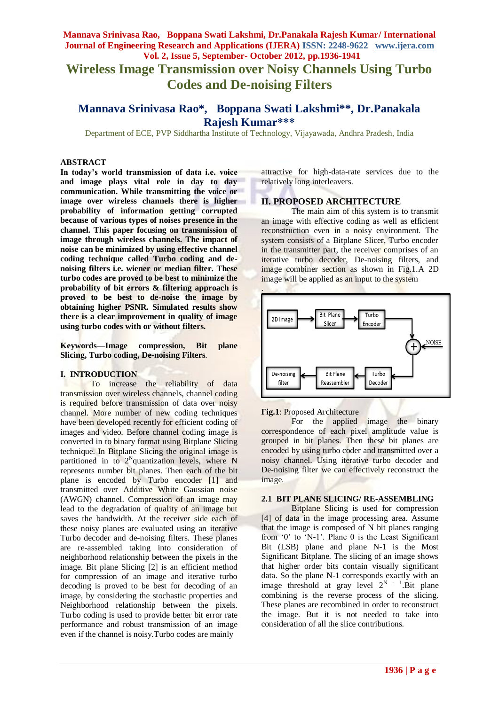# **Wireless Image Transmission over Noisy Channels Using Turbo Codes and De-noising Filters**

# **Mannava Srinivasa Rao\*, Boppana Swati Lakshmi\*\*, Dr.Panakala Rajesh Kumar\*\*\***

Department of ECE, PVP Siddhartha Institute of Technology, Vijayawada, Andhra Pradesh, India

#### **ABSTRACT**

**In today's world transmission of data i.e. voice and image plays vital role in day to day communication. While transmitting the voice or image over wireless channels there is higher probability of information getting corrupted because of various types of noises presence in the channel. This paper focusing on transmission of image through wireless channels. The impact of noise can be minimized by using effective channel coding technique called Turbo coding and denoising filters i.e. wiener or median filter. These turbo codes are proved to be best to minimize the probability of bit errors & filtering approach is proved to be best to de-noise the image by obtaining higher PSNR. Simulated results show there is a clear improvement in quality of image using turbo codes with or without filters.**

**Keywords***—***Image compression, Bit plane Slicing, Turbo coding, De-noising Filters**.

### **I. INTRODUCTION**

To increase the reliability of data transmission over wireless channels, channel coding is required before transmission of data over noisy channel. More number of new coding techniques have been developed recently for efficient coding of images and video. Before channel coding image is converted in to binary format using Bitplane Slicing technique. In Bitplane Slicing the original image is partitioned in to  $2^N$ quantization levels, where N represents number bit planes. Then each of the bit plane is encoded by Turbo encoder [1] and transmitted over Additive White Gaussian noise (AWGN) channel. Compression of an image may lead to the degradation of quality of an image but saves the bandwidth. At the receiver side each of these noisy planes are evaluated using an iterative Turbo decoder and de-noising filters. These planes are re-assembled taking into consideration of neighborhood relationship between the pixels in the image. Bit plane Slicing [2] is an efficient method for compression of an image and iterative turbo decoding is proved to be best for decoding of an image, by considering the stochastic properties and Neighborhood relationship between the pixels. Turbo coding is used to provide better bit error rate performance and robust transmission of an image even if the channel is noisy.Turbo codes are mainly

attractive for high-data-rate services due to the relatively long interleavers.

#### **II. PROPOSED ARCHITECTURE**

The main aim of this system is to transmit an image with effective coding as well as efficient reconstruction even in a noisy environment. The system consists of a Bitplane Slicer, Turbo encoder in the transmitter part, the receiver comprises of an iterative turbo decoder, De-noising filters, and image combiner section as shown in Fig.1.A 2D image will be applied as an input to the system



#### **Fig.1**: Proposed Architecture

For the applied image the binary correspondence of each pixel amplitude value is grouped in bit planes. Then these bit planes are encoded by using turbo coder and transmitted over a noisy channel. Using iterative turbo decoder and De-noising filter we can effectively reconstruct the image.

# **2.1 BIT PLANE SLICING/ RE-ASSEMBLING**

Bitplane Slicing is used for compression [4] of data in the image processing area. Assume that the image is composed of N bit planes ranging from "0" to "N-1". Plane 0 is the Least Significant Bit (LSB) plane and plane N-1 is the Most Significant Bitplane. The slicing of an image shows that higher order bits contain visually significant data. So the plane N-1 corresponds exactly with an image threshold at gray level  $2^N$   $^{-1}$ . Bit plane combining is the reverse process of the slicing. These planes are recombined in order to reconstruct the image. But it is not needed to take into consideration of all the slice contributions.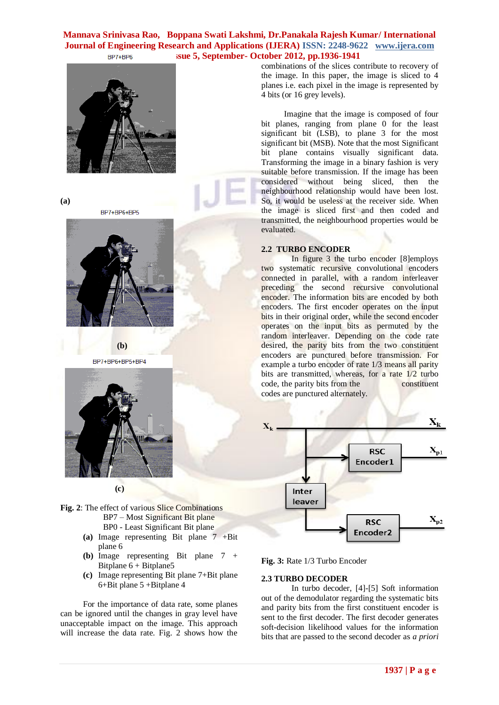

**(a)**

BP7+BP6+BP5



 **(b)** BP7+BP6+BP5+BP4



 **(c)**

- **Fig. 2**: The effect of various Slice Combinations BP7 – Most Significant Bit plane BP0 - Least Significant Bit plane
	- **(a)** Image representing Bit plane 7 +Bit plane 6
	- **(b)** Image representing Bit plane 7 + Bitplane  $6 + \text{Bitplane}5$
	- **(c)** Image representing Bit plane 7+Bit plane 6+Bit plane 5 +Bitplane 4

For the importance of data rate, some planes can be ignored until the changes in gray level have unacceptable impact on the image. This approach will increase the data rate. Fig. 2 shows how the combinations of the slices contribute to recovery of the image. In this paper, the image is sliced to 4 planes i.e. each pixel in the image is represented by 4 bits (or 16 grey levels).

Imagine that the image is composed of four bit planes, ranging from plane 0 for the least significant bit (LSB), to plane 3 for the most significant bit (MSB). Note that the most Significant bit plane contains visually significant data. Transforming the image in a binary fashion is very suitable before transmission. If the image has been considered without being sliced, then the neighbourhood relationship would have been lost. So, it would be useless at the receiver side. When the image is sliced first and then coded and transmitted, the neighbourhood properties would be evaluated.

# **2.2 TURBO ENCODER**

In figure 3 the turbo encoder [8]employs two systematic recursive convolutional encoders connected in parallel, with a random interleaver preceding the second recursive convolutional encoder. The information bits are encoded by both encoders. The first encoder operates on the input bits in their original order, while the second encoder operates on the input bits as permuted by the random interleaver. Depending on the code rate desired, the parity bits from the two constituent encoders are punctured before transmission. For example a turbo encoder of rate 1/3 means all parity bits are transmitted, whereas, for a rate 1/2 turbo code, the parity bits from the constituent codes are punctured alternately.



**Fig. 3:** Rate 1/3 Turbo Encoder

# **2.3 TURBO DECODER**

In turbo decoder, [4]-[5] Soft information out of the demodulator regarding the systematic bits and parity bits from the first constituent encoder is sent to the first decoder. The first decoder generates soft-decision likelihood values for the information bits that are passed to the second decoder as *a priori*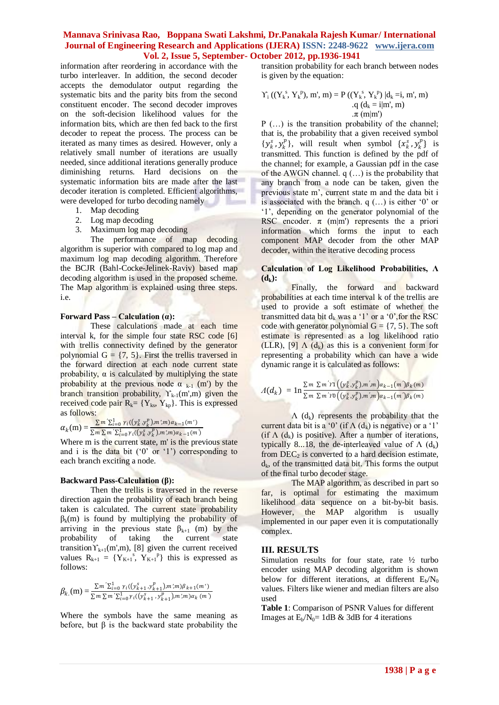information after reordering in accordance with the turbo interleaver. In addition, the second decoder accepts the demodulator output regarding the systematic bits and the parity bits from the second constituent encoder. The second decoder improves on the soft-decision likelihood values for the information bits, which are then fed back to the first decoder to repeat the process. The process can be iterated as many times as desired. However, only a relatively small number of iterations are usually needed, since additional iterations generally produce diminishing returns. Hard decisions on the systematic information bits are made after the last decoder iteration is completed. Efficient algorithms, were developed for turbo decoding namely

- 1. Map decoding
- 2. Log map decoding
- 3. Maximum log map decoding

The performance of map decoding algorithm is superior with compared to log map and maximum log map decoding algorithm. Therefore the BCJR (Bahl-Cocke-Jelinek-Raviv) based map decoding algorithm is used in the proposed scheme. The Map algorithm is explained using three steps. i.e.

#### **Forward Pass – Calculation (α):**

These calculations made at each time interval k, for the simple four state RSC code [6] with trellis connectivity defined by the generator polynomial  $G = \{7, 5\}$ . First the trellis traversed in the forward direction at each node current state probability,  $\alpha$  is calculated by multiplying the state probability at the previous node  $\alpha_{k-1}$  (m') by the branch transition probability,  $Y_{k-1}(m',m)$  given the received code pair  $R_k = \{Y_{ks}, Y_{kp}\}\$ . This is expressed as follows:

 $\alpha_k(m) = \frac{\sum m' \sum_{i=0}^{1} \gamma_i((y_k^s, y_k^p), m', m) \alpha_{k-1}(m')}{\sum m \sum m' \sum_{i=0}^{1} \gamma_i((y_k^s, y_i^p), m', m) \alpha_{k-1}(m')}$  $\sum m \sum m' \sum_{i=0}^{1} \gamma_i ((y_k^s, y_k^p), m', m) \alpha_{k-1}(m')$ 

Where m is the current state, m' is the previous state and i is the data bit  $(0)$  or  $(1)$  corresponding to each branch exciting a node.

#### **Backward Pass-Calculation (β):**

Then the trellis is traversed in the reverse direction again the probability of each branch being taken is calculated. The current state probability  $\beta_k(m)$  is found by multiplying the probability of arriving in the previous state  $\beta_{k+1}$  (m) by the probability of taking the current state transition  $\Upsilon_{k+1}(m,m)$ , [8] given the current received values  $R_{k+1} = \{Y_{K+1}^{s}, Y_{K+1}^{s} \}$  this is expressed as follows:

$$
\beta_k(m) = \frac{\sum m' \sum_{i=0}^{1} \gamma_i((y_{k+1}^s, y_{k+1}^p), m'm)\beta_{k+1}(m')}{\sum m \sum m' \sum_{i=0}^{1} \gamma_i((y_{k+1}^s, y_{k+1}^p), m'm)\alpha_k(m')}
$$

Where the symbols have the same meaning as before, but  $\beta$  is the backward state probability the transition probability for each branch between nodes is given by the equation:

$$
\Upsilon_{i}((Y_{k}^{s}, Y_{k}^{p}), m', m) = P((Y_{k}^{s}, Y_{k}^{p}) | d_{k} = i, m', m) \n q (d_{k} = i|m', m) \n \pi (m|m')
$$

P (…) is the transition probability of the channel; that is, the probability that a given received symbol  $\{y_k^s, y_k^p\}$ , will result when symbol  $\{x_k^s, y_k^p\}$  is transmitted. This function is defined by the pdf of the channel; for example, a Gaussian pdf in the case of the AWGN channel. q (…) is the probability that any branch from a node can be taken, given the previous state m", current state m and the data bit i is associated with the branch.  $q$   $($ ...) is either '0' or "1", depending on the generator polynomial of the RSC encoder.  $\pi$  (m|m') represents the a priori information which forms the input to each component MAP decoder from the other MAP decoder, within the iterative decoding process

#### Calculation of Log Likelihood Probabilities,  $\Lambda$  $(d_k)$ :

Finally, the forward and backward probabilities at each time interval k of the trellis are used to provide a soft estimate of whether the transmitted data bit  $d_k$  was a '1' or a '0', for the RSC code with generator polynomial  $G = \{7, 5\}$ . The soft estimate is represented as a log likelihood ratio (LLR), [9]  $\Lambda$  (d<sub>k</sub>) as this is a convenient form for representing a probability which can have a wide dynamic range it is calculated as follows:

$$
\Lambda(d_k) = \ln \frac{\sum m \sum m' \Upsilon \left((y_k^s, y_k^p), m', m\right) a_{k-1}(m') \beta_k(m)}{\sum m \sum m' \Upsilon \left((y_k^s, y_k^p), m', m\right) a_{k-1}(m') \beta_k(m)}
$$

 $\Lambda$  (d<sub>k</sub>) represents the probability that the current data bit is a '0' (if  $\Lambda$  (d<sub>k</sub>) is negative) or a '1' (if  $\Lambda$  (d<sub>k</sub>) is positive). After a number of iterations, typically 8...18, the de-interleaved value of  $\Lambda$  (d<sub>k</sub>) from  $DEC<sub>2</sub>$  is converted to a hard decision estimate,  $d_k$ , of the transmitted data bit. This forms the output of the final turbo decoder stage.

The MAP algorithm, as described in part so far, is optimal for estimating the maximum likelihood data sequence on a bit-by-bit basis. However, the MAP algorithm is usually implemented in our paper even it is computationally complex.

#### **III. RESULTS**

Simulation results for four state, rate ½ turbo encoder using MAP decoding algorithm is shown below for different iterations, at different  $E_b/N_0$ values. Filters like wiener and median filters are also used

**Table 1**: Comparison of PSNR Values for different Images at  $E_b/N_0=1dB \& 3dB$  for 4 iterations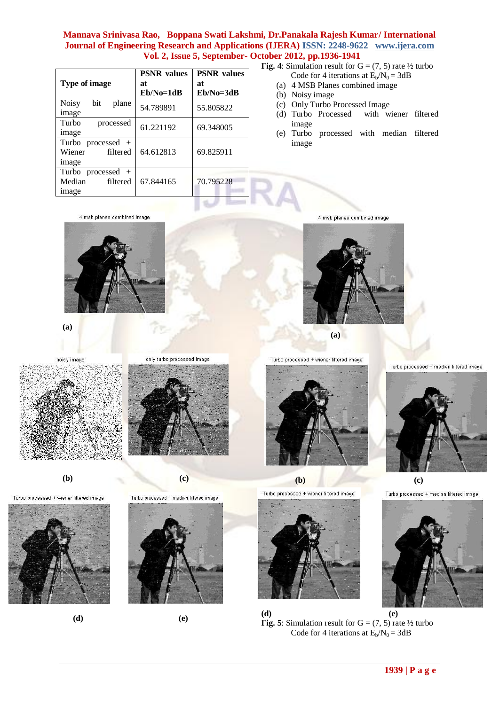| <b>Type of image</b>                               | <b>PSNR</b> values<br>at<br>$Eb/No=1dB$ | <b>PSNR</b> values<br>at<br>$Eb/No=3dB$ |
|----------------------------------------------------|-----------------------------------------|-----------------------------------------|
| <b>Noisy</b><br>bit<br>plane<br>image              | 54.789891                               | 55.805822                               |
| Turbo<br>processed<br>image                        | 61.221192                               | 69.348005                               |
| Turbo processed $+$<br>Wiener<br>filtered<br>image | 64.612813                               | 69.825911                               |
| Turbo processed $+$<br>Median<br>filtered<br>image | 67.844165                               | 70.795228                               |

**Fig. 4**: Simulation result for  $G = (7, 5)$  rate  $\frac{1}{2}$  turbo

- Code for 4 iterations at  $E_b/N_0 = 3dB$
- (a) 4 MSB Planes combined image
- (b) Noisy image
- (c) Only Turbo Processed Image
- (d) Turbo Processed with wiener filtered image
- (e) Turbo processed with median filtered image

4 msb planes combined image



**(a)**

noisy image







**(b) (c)** 

Turbo processed + wiener filtered image



Turbo processed + median filtered image









4 msb planes combined image



 **(a)**

Turbo processed + wiener filtered image



Turbo processed + wiener filtered image

Turbo processed + median filtered image



 **(b) (c)**



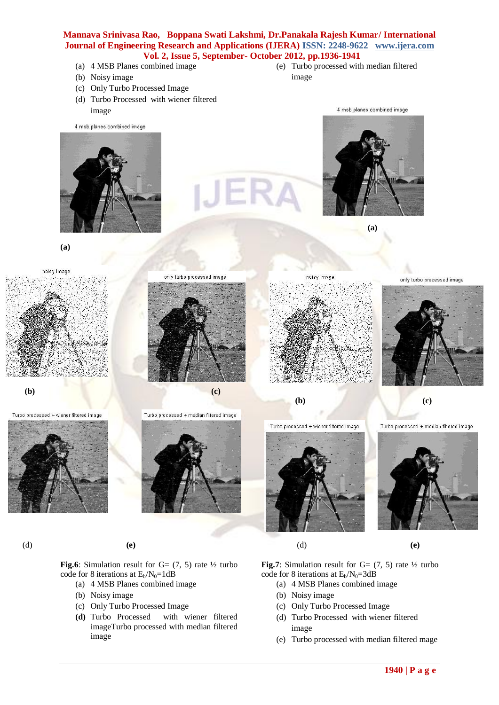- (a) 4 MSB Planes combined image
- (b) Noisy image
- (c) Only Turbo Processed Image
- (d) Turbo Processed with wiener filtered
- (e) Turbo processed with median filtered image



**(a)**





Turbo processed + wiener filtered image



**Fig.6**: Simulation result for  $G = (7, 5)$  rate  $\frac{1}{2}$  turbo code for 8 iterations at  $E_b/N_0=1dB$ 

- (a) 4 MSB Planes combined image
- (b) Noisy image
- (c) Only Turbo Processed Image
- **(d)** Turbo Processed with wiener filtered imageTurbo processed with median filtered image







**(b) (c)**

Turbo processed + median filtered image





Turbo processed + wiener filtered image

noisy image



only turbo processed image



(d) **(e)** (d) **(e)**

**Fig.7**: Simulation result for  $G = (7, 5)$  rate  $\frac{1}{2}$  turbo code for 8 iterations at  $E_b/N_0=3dB$ 

- (a) 4 MSB Planes combined image
- (b) Noisy image
- (c) Only Turbo Processed Image
- (d) Turbo Processed with wiener filtered image
- (e) Turbo processed with median filtered mage